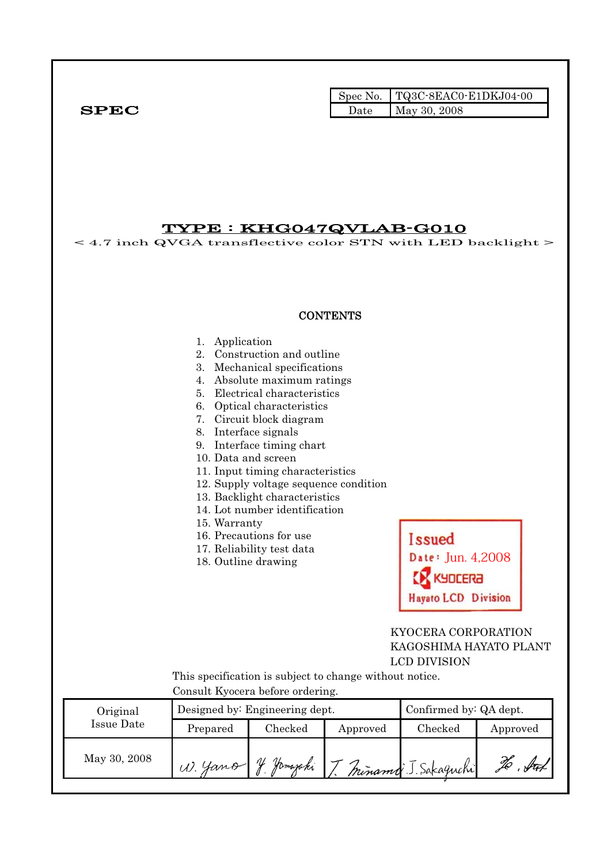|              |      | $\blacksquare$ Spec No. $\blacksquare$ TQ3C-8EAC0-E1DKJ04-00 |
|--------------|------|--------------------------------------------------------------|
| ${\bf SPEC}$ | Date | May 30, 2008                                                 |

TYPE : KHG047QVLAB-G010  $<$  4.7 inch QVGA transflective color STN with LED backlight  $>$ **CONTENTS** 1. Application 2. Construction and outline 3. Mechanical specifications 4. Absolute maximum ratings 5. Electrical characteristics 6. Optical characteristics 7. Circuit block diagram 8. Interface signals 9. Interface timing chart 10. Data and screen 11. Input timing characteristics 12. Supply voltage sequence condition 13. Backlight characteristics 14. Lot number identification 15. Warranty 16. Precautions for use **Issued** 17. Reliability test data Date: Jun. 4,2008 18. Outline drawing **GREDULY Hayato LCD Division**  KYOCERA CORPORATION KAGOSHIMA HAYATO PLANT LCD DIVISION This specification is subject to change without notice. Consult Kyocera before ordering. Original Designed by: Engineering dept. Confirmed by: QA dept. Issue Date Prepared Checked Approved Checked Approved May 30, 2008 W. Yamo J. Jamajahi To . Sur minamo J. Sakaguchi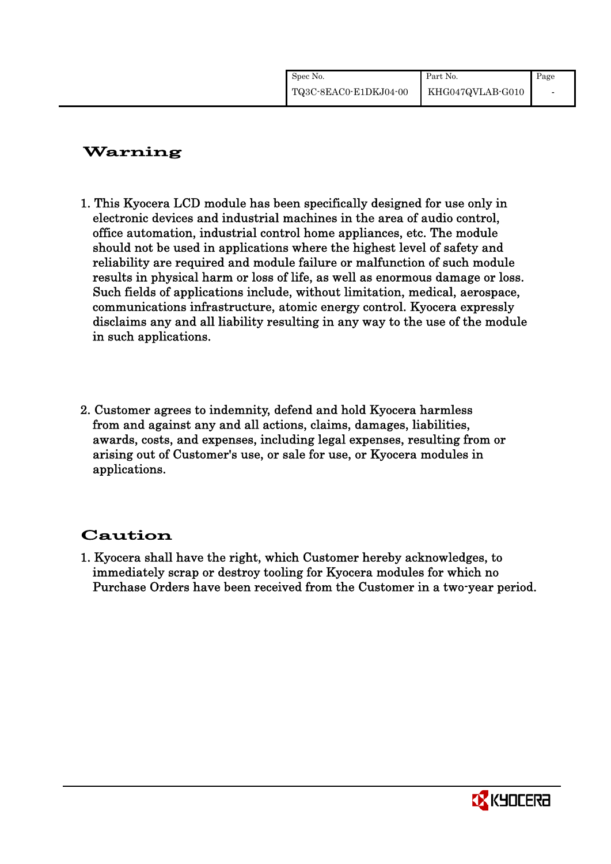| Spec No.              | Part No.         | Page |
|-----------------------|------------------|------|
| TQ3C-8EAC0-E1DKJ04-00 | KHG047QVLAB-G010 |      |

# Warning

- 1. This Kyocera LCD module has been specifically designed for use only in electronic devices and industrial machines in the area of audio control, office automation, industrial control home appliances, etc. The module should not be used in applications where the highest level of safety and reliability are required and module failure or malfunction of such module results in physical harm or loss of life, as well as enormous damage or loss. Such fields of applications include, without limitation, medical, aerospace, communications infrastructure, atomic energy control. Kyocera expressly disclaims any and all liability resulting in any way to the use of the module in such applications.
- 2. Customer agrees to indemnity, defend and hold Kyocera harmless from and against any and all actions, claims, damages, liabilities, awards, costs, and expenses, including legal expenses, resulting from or arising out of Customer's use, or sale for use, or Kyocera modules in applications.

# Caution

1. Kyocera shall have the right, which Customer hereby acknowledges, to immediately scrap or destroy tooling for Kyocera modules for which no Purchase Orders have been received from the Customer in a two-year period.

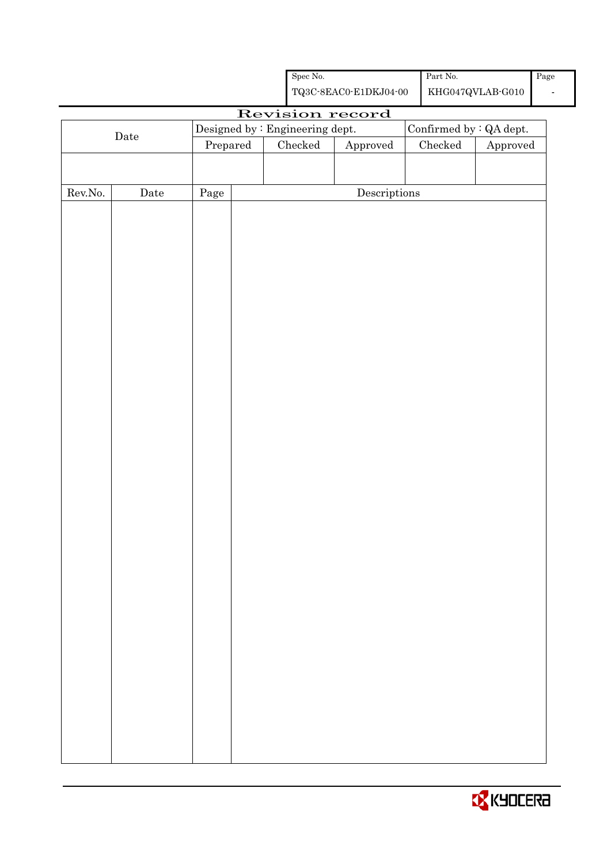|                  |             |                                 |         | ${\rm Spec}$ No. |                                                    | Part No. $\,$   |                               | Page |
|------------------|-------------|---------------------------------|---------|------------------|----------------------------------------------------|-----------------|-------------------------------|------|
|                  |             |                                 |         |                  | ${\bf TQ3C\text{-}8EAC0\text{-}E1DKJ04\text{-}00}$ |                 | $\rm KHG047QVLAB\mbox{-}G010$ |      |
|                  |             |                                 |         |                  | Revision record                                    |                 |                               |      |
|                  |             | Designed by : Engineering dept. |         |                  |                                                    |                 | Confirmed by : QA dept.       |      |
|                  | $\rm{Date}$ | Prepared                        | Checked |                  | ${\Large\bf Approved}$                             | ${\it Checked}$ | Approved                      |      |
|                  |             |                                 |         |                  |                                                    |                 |                               |      |
|                  |             |                                 |         |                  |                                                    |                 |                               |      |
| ${\rm Rev. No.}$ | Date        | $\rm Page$                      |         |                  | $\label{eq:2} \textbf{Descriptions}$               |                 |                               |      |
|                  |             |                                 |         |                  |                                                    |                 |                               |      |
|                  |             |                                 |         |                  |                                                    |                 |                               |      |
|                  |             |                                 |         |                  |                                                    |                 |                               |      |
|                  |             |                                 |         |                  |                                                    |                 |                               |      |
|                  |             |                                 |         |                  |                                                    |                 |                               |      |
|                  |             |                                 |         |                  |                                                    |                 |                               |      |
|                  |             |                                 |         |                  |                                                    |                 |                               |      |
|                  |             |                                 |         |                  |                                                    |                 |                               |      |
|                  |             |                                 |         |                  |                                                    |                 |                               |      |
|                  |             |                                 |         |                  |                                                    |                 |                               |      |
|                  |             |                                 |         |                  |                                                    |                 |                               |      |
|                  |             |                                 |         |                  |                                                    |                 |                               |      |
|                  |             |                                 |         |                  |                                                    |                 |                               |      |
|                  |             |                                 |         |                  |                                                    |                 |                               |      |
|                  |             |                                 |         |                  |                                                    |                 |                               |      |
|                  |             |                                 |         |                  |                                                    |                 |                               |      |
|                  |             |                                 |         |                  |                                                    |                 |                               |      |
|                  |             |                                 |         |                  |                                                    |                 |                               |      |
|                  |             |                                 |         |                  |                                                    |                 |                               |      |
|                  |             |                                 |         |                  |                                                    |                 |                               |      |
|                  |             |                                 |         |                  |                                                    |                 |                               |      |
|                  |             |                                 |         |                  |                                                    |                 |                               |      |
|                  |             |                                 |         |                  |                                                    |                 |                               |      |
|                  |             |                                 |         |                  |                                                    |                 |                               |      |
|                  |             |                                 |         |                  |                                                    |                 |                               |      |
|                  |             |                                 |         |                  |                                                    |                 |                               |      |
|                  |             |                                 |         |                  |                                                    |                 |                               |      |
|                  |             |                                 |         |                  |                                                    |                 |                               |      |
|                  |             |                                 |         |                  |                                                    |                 |                               |      |
|                  |             |                                 |         |                  |                                                    |                 |                               |      |
|                  |             |                                 |         |                  |                                                    |                 |                               |      |
|                  |             |                                 |         |                  |                                                    |                 |                               |      |
|                  |             |                                 |         |                  |                                                    |                 |                               |      |
|                  |             |                                 |         |                  |                                                    |                 |                               |      |
|                  |             |                                 |         |                  |                                                    |                 |                               |      |

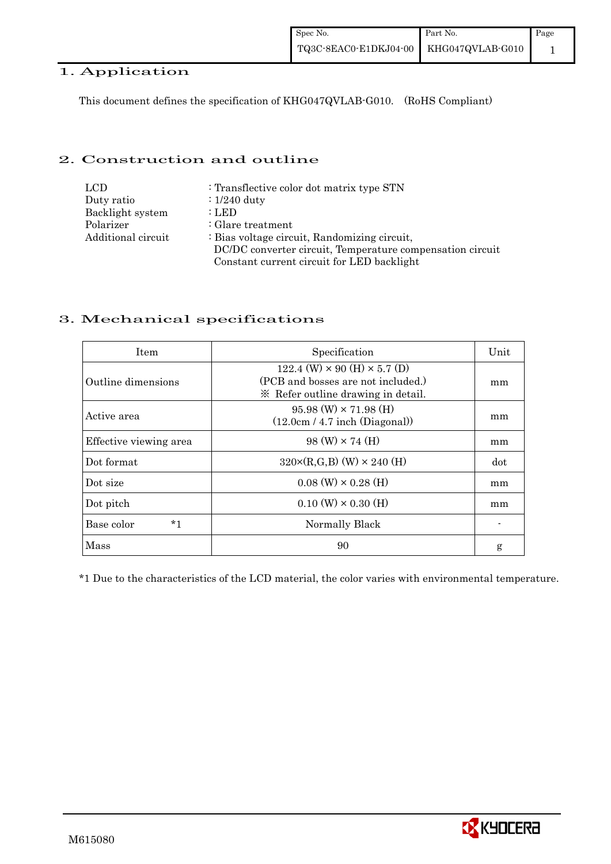## 1. Application

This document defines the specification of KHG047QVLAB-G010. (RoHS Compliant)

## 2. Construction and outline

| <b>LCD</b>         | : Transflective color dot matrix type STN                 |
|--------------------|-----------------------------------------------------------|
| Duty ratio         | $\div 1/240$ duty                                         |
| Backlight system   | : LED                                                     |
| Polarizer          | $\therefore$ Glare treatment                              |
| Additional circuit | : Bias voltage circuit, Randomizing circuit,              |
|                    | DC/DC converter circuit, Temperature compensation circuit |
|                    | Constant current circuit for LED backlight                |

## 3. Mechanical specifications

| <b>Item</b>            | Specification                                                                                                            | Unit |
|------------------------|--------------------------------------------------------------------------------------------------------------------------|------|
| Outline dimensions     | $122.4$ (W) $\times$ 90 (H) $\times$ 5.7 (D)<br>(PCB and bosses are not included.)<br>* Refer outline drawing in detail. | mm   |
| Active area            | $95.98$ (W) $\times$ 71.98 (H)<br>(12.0cm / 4.7 inch (Diagonal))                                                         | mm   |
| Effective viewing area | $98 \text{ (W)} \times 74 \text{ (H)}$                                                                                   | mm   |
| Dot format             | $320 \times (R, G, B)$ (W) $\times 240$ (H)                                                                              | dot  |
| Dot size               | $0.08$ (W) $\times$ 0.28 (H)                                                                                             | mm   |
| Dot pitch              | $0.10 \text{ (W)} \times 0.30 \text{ (H)}$                                                                               | mm   |
| Base color<br>*1       | Normally Black                                                                                                           |      |
| Mass                   | 90                                                                                                                       | g    |

\*1 Due to the characteristics of the LCD material, the color varies with environmental temperature.

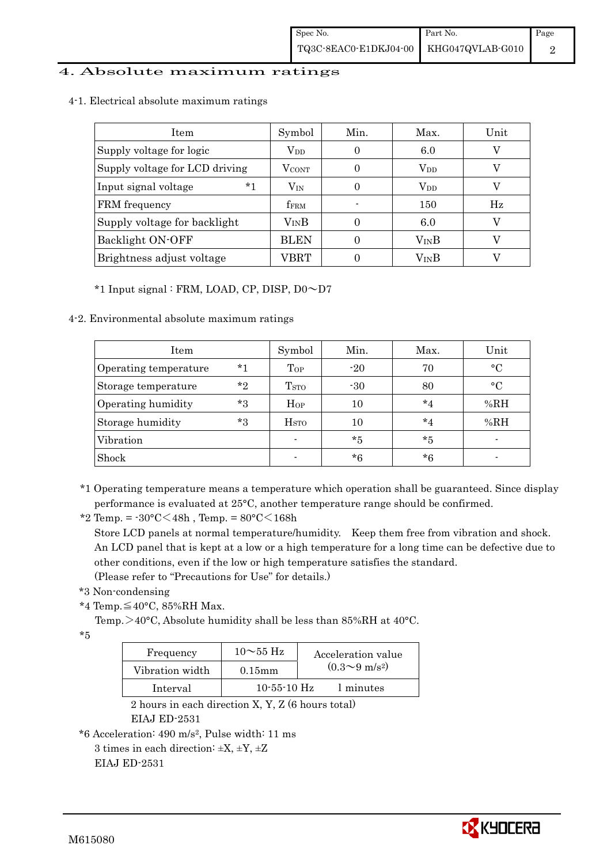## 4. Absolute maximum ratings

## 4-1. Electrical absolute maximum ratings

| <b>Item</b>                    | Symbol                 | Min.     | Max.         | Unit |
|--------------------------------|------------------------|----------|--------------|------|
| Supply voltage for logic       | $V_{DD}$               | 6.0<br>0 |              |      |
| Supply voltage for LCD driving | <b>VCONT</b>           |          | $V_{DD}$     |      |
| $*1$<br>Input signal voltage   | $\rm V_{\rm IN}$       | 0        | $\rm V_{DD}$ |      |
| FRM frequency                  | <b>fFRM</b>            |          | 150          | Hz   |
| Supply voltage for backlight   | <b>V<sub>IN</sub>B</b> |          | 6.0          |      |
| Backlight ON-OFF               | <b>BLEN</b>            |          | $V_{IN}B$    |      |
| Brightness adjust voltage      | VBRT                   |          | VinB         |      |

## \*1 Input signal : FRM, LOAD, CP, DISP, D0~D7

## 4-2. Environmental absolute maximum ratings

| Item                  |       | Symbol                  | Min.  | Max.    | Unit        |
|-----------------------|-------|-------------------------|-------|---------|-------------|
| Operating temperature | $*1$  | Top                     | $-20$ | 70      | $^{\circ}C$ |
| Storage temperature   | $*$ ? | <b>T</b> <sub>STO</sub> | $-30$ | 80      | $^{\circ}C$ |
| Operating humidity    | $*3$  | Hop                     | 10    | $*_{4}$ | %RH         |
| Storage humidity      | $*3$  | H <sub>STO</sub>        | 10    | $*_{4}$ | %RH         |
| Vibration             |       |                         | $*5$  | $*_{5}$ |             |
| Shock                 |       |                         | *6    | $*6$    |             |

- \*1 Operating temperature means a temperature which operation shall be guaranteed. Since display performance is evaluated at 25°C, another temperature range should be confirmed.
- \*2 Temp. =  $-30^{\circ}$ C $<$ 48h, Temp. =  $80^{\circ}$ C $<$ 168h

 Store LCD panels at normal temperature/humidity. Keep them free from vibration and shock. An LCD panel that is kept at a low or a high temperature for a long time can be defective due to other conditions, even if the low or high temperature satisfies the standard.

(Please refer to "Precautions for Use" for details.)

\*3 Non-condensing

\*4 Temp.≦40°C, 85%RH Max.

Temp. >40°C, Absolute humidity shall be less than 85%RH at 40°C.

\*5

| Frequency       | $10\sim$ 55 Hz | Acceleration value         |
|-----------------|----------------|----------------------------|
| Vibration width | $0.15$ m m     | $(0.3{\sim}9~{\rm m/s^2})$ |
| Interval        | $10-55-10$ Hz  | 1 minutes                  |

 2 hours in each direction X, Y, Z (6 hours total) EIAJ ED-2531

```
*6 Acceleration: 490 m/s2, Pulse width: 11 ms
```

```
3 times in each direction: \pm X, \pm Y, \pm Z
```
EIAJ ED-2531

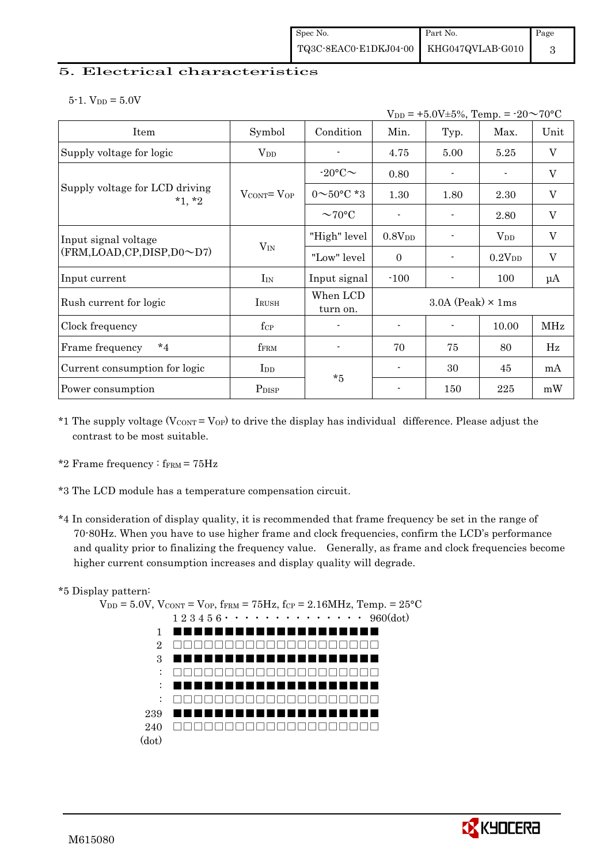## 5. Electrical characteristics

 $5-1.$  V<sub>DD</sub> =  $5.0V$ 

|                                            | $V_{DD}$ = +5.0V±5%, Temp. = -20 $\sim$ 70°C |                          |                          |                            |                    |                           |  |  |
|--------------------------------------------|----------------------------------------------|--------------------------|--------------------------|----------------------------|--------------------|---------------------------|--|--|
| Item                                       | Symbol                                       | Condition                | Min.                     | Typ.                       | Max.               | Unit                      |  |  |
| Supply voltage for logic                   | $\rm V_{DD}$                                 |                          | 4.75                     | 5.00                       | 5.25               | $\mathbf V$               |  |  |
|                                            |                                              | $-20$ °C $\sim$          | 0.80                     | $\overline{\phantom{a}}$   |                    | V                         |  |  |
| Supply voltage for LCD driving<br>$*1, *2$ | $V_{\text{CONT}} = V_{\text{OP}}$            | $0 \sim 50^{\circ}$ C *3 | 1.30                     | 1.80                       | 2.30               | $\mathbf V$               |  |  |
|                                            |                                              | $\sim$ 70°C              |                          |                            | 2.80               | $\boldsymbol{\mathrm{V}}$ |  |  |
| Input signal voltage                       | $V_{IN}$                                     | "High" level             | 0.8V <sub>DD</sub>       | $\overline{\phantom{a}}$   | $V_{DD}$           | V                         |  |  |
| (FRM,LOAD,CP,DISP,D0~D7)                   |                                              | "Low" level              | $\Omega$                 |                            | 0.2V <sub>DD</sub> | $\mathbf V$               |  |  |
| Input current                              | $I_{IN}$                                     | Input signal             | $-100$                   |                            | 100                | $\mu A$                   |  |  |
| Rush current for logic                     | $I_{\rm RUSH}$                               | When LCD<br>turn on.     |                          | $3.0A$ (Peak) $\times$ 1ms |                    |                           |  |  |
| Clock frequency                            | $f_{\rm CP}$                                 | $\blacksquare$           | $\overline{\phantom{a}}$ | $\blacksquare$             | 10.00              | MHz                       |  |  |
| $*_{4}$<br>Frame frequency                 | fFRM                                         |                          | 70                       | 75                         | 80                 | Hz                        |  |  |
| Current consumption for logic              | $_{\rm{LDD}}$                                | $*5$                     |                          | 30                         | 45                 | mA                        |  |  |
| Power consumption                          | P <sub>DISP</sub>                            |                          |                          | 150                        | 225                | mW                        |  |  |

- \*1 The supply voltage  $(V_{CONT} = V_{OP})$  to drive the display has individual difference. Please adjust the contrast to be most suitable.
- \*2 Frame frequency :  $f_{\text{FRM}} = 75 \text{Hz}$
- \*3 The LCD module has a temperature compensation circuit.
- \*4 In consideration of display quality, it is recommended that frame frequency be set in the range of 70-80Hz. When you have to use higher frame and clock frequencies, confirm the LCD's performance and quality prior to finalizing the frequency value. Generally, as frame and clock frequencies become higher current consumption increases and display quality will degrade.

## \*5 Display pattern:

 $V_{DD} = 5.0V$ ,  $V_{CONT} = V_{OP}$ ,  $f_{FRM} = 75Hz$ ,  $f_{CP} = 2.16MHz$ ,  $T_{emp} = 25°C$  1 2 3 4 5 6・・・・・・・・・・・・・・ 960(dot) 1 2 3 : : : 239 240 (dot) ■■■■■■■■■■■■■■■■■■■■ □□□□□□□□□□□□□□□□□□□□ ■■■■■■■■■■■■■■■■■■■■ □□□□□□□□□□□□□□□□□□□□ ■■■■■■■■■■■■■■■■■■■■ □□□□□□□□□□□□□□□□□□□□ ■■■■■■■■■■■■■■■■■■■■ □□□□□□□□□□□□□□□□□□□□

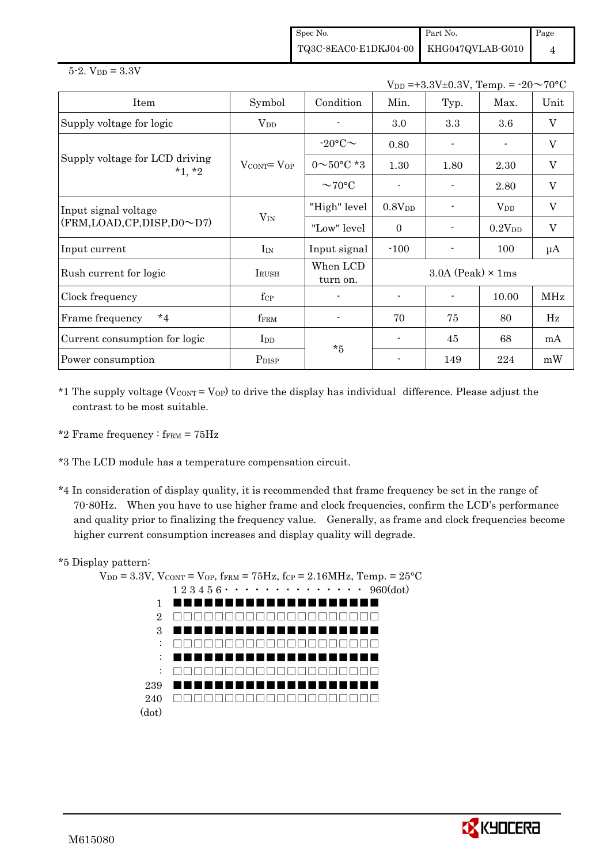Spec No. TQ3C-8EAC0-E1DKJ04-00 Part No. KHG047QVLAB-G010 Page 4

 $V_{DD} = +3.3V \pm 0.3V$ , Temp. =  $-20 \sim 70$ °C

| Item                                       | Symbol                            | Condition                | Min.                       | Typ. | Max.               | Unit         |
|--------------------------------------------|-----------------------------------|--------------------------|----------------------------|------|--------------------|--------------|
| Supply voltage for logic                   | $\rm V_{DD}$                      |                          | $3.0\,$                    | 3.3  | $3.6\,$            | $\mathbf{V}$ |
|                                            |                                   | $-20$ °C $\sim$          | 0.80                       |      | $\blacksquare$     | $\rm V$      |
| Supply voltage for LCD driving<br>$*1, *2$ | $V_{\text{CONT}} = V_{\text{OP}}$ | $0 \sim 50^{\circ}$ C *3 | 1.30                       | 1.80 | 2.30               | V            |
|                                            |                                   | $\sim$ 70°C              |                            |      | 2.80               | V            |
| Input signal voltage                       |                                   | "High" level             | 0.8V <sub>DD</sub>         |      | $V_{DD}$           | $\mathbf V$  |
| (FRM, LOAD, CP, DISP, D0~D7)               | $V_{IN}$                          | "Low" level              | $\Omega$                   |      | 0.2V <sub>DD</sub> | $\mathbf V$  |
| Input current                              | $I_{IN}$                          | Input signal             | $-100$                     |      | 100                | $\mu A$      |
| Rush current for logic                     | IRUSH                             | When LCD<br>turn on.     | $3.0A$ (Peak) $\times$ 1ms |      |                    |              |
| Clock frequency                            | $f_{\rm CP}$                      |                          |                            |      | 10.00              | MHz          |
| $*_{4}$<br>Frame frequency                 | fFRM                              |                          | 70                         | 75   | 80                 | Hz           |
| Current consumption for logic              | $_{\rm{LDD}}$                     | $*5$                     |                            | 45   | 68                 | mA           |
| Power consumption                          | P <sub>DISP</sub>                 |                          |                            | 149  | 224                | mW           |

\*1 The supply voltage ( $V_{\text{CONT}} = V_{\text{OP}}$ ) to drive the display has individual difference. Please adjust the contrast to be most suitable.

\*2 Frame frequency :  $f_{\text{FRM}} = 75 \text{Hz}$ 

\*3 The LCD module has a temperature compensation circuit.

\*4 In consideration of display quality, it is recommended that frame frequency be set in the range of 70-80Hz. When you have to use higher frame and clock frequencies, confirm the LCD's performance and quality prior to finalizing the frequency value. Generally, as frame and clock frequencies become higher current consumption increases and display quality will degrade.

#### \*5 Display pattern:

 $V_{DD} = 3.3V$ ,  $V_{CONT} = V_{OP}$ ,  $f_{FRM} = 75Hz$ ,  $f_{CP} = 2.16MHz$ ,  $Temp. = 25°C$  1 2 3 4 5 6・・・・・・・・・・・・・・ 960(dot) 1 2 3 : : : 239 240 (dot) ■■■■■■■■■■■■■■■■■■■■ □□□□□□□□□□□□□□□□□□□□ ■■■■■■■■■■■■■■■■■■■■ □□□□□□□□□□□□□□□□□□□□ ■■■■■■■■■■■■■■■■■■■■ □□□□□□□□□□□□□□□□□□□□ ■■■■■■■■■■■■■■■■■■■■ □□□□□□□□□□□□□□□□□□□□

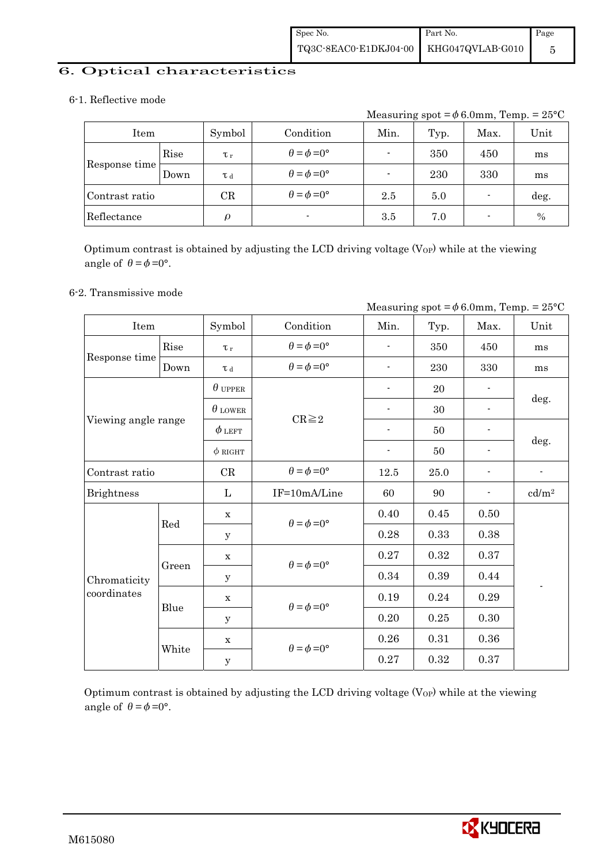## 6. Optical characteristics

## 6-1. Reflective mode

Measuring spot =  $\phi$  6.0mm, Temp. = 25°C

| Item           |      | Symbol      | Condition                   | Min. | Typ. | Max.                     | Unit |
|----------------|------|-------------|-----------------------------|------|------|--------------------------|------|
| Rise           |      | $\tau_r$    | $\theta = \phi = 0^{\circ}$ |      | 350  | 450                      | ms   |
| Response time  | Down | T d         | $\theta = \phi = 0^{\circ}$ |      | 230  | 330                      | ms   |
| Contrast ratio |      | $_{\rm CR}$ | $\theta = \phi = 0^{\circ}$ | 2.5  | 5.0  |                          | deg. |
| Reflectance    |      | ρ           | $\blacksquare$              | 3.5  | 7.0  | $\overline{\phantom{0}}$ | $\%$ |

Optimum contrast is obtained by adjusting the LCD driving voltage  $(V_{OP})$  while at the viewing angle of  $\theta = \phi = 0^{\circ}$ .

## 6-2. Transmissive mode

|                     |       |                |                             |                          |      |                              | Measuring spot = $\phi$ 6.0mm, Temp. = 25°C |  |
|---------------------|-------|----------------|-----------------------------|--------------------------|------|------------------------------|---------------------------------------------|--|
| Item                |       | Symbol         | Condition                   | Min.                     | Typ. | Max.                         | Unit                                        |  |
|                     | Rise  | $\tau_r$       | $\theta = \phi = 0^{\circ}$ |                          | 350  | 450                          | ms                                          |  |
| Response time       | Down  | $\tau$ d       | $\theta = \phi = 0^{\circ}$ |                          | 230  | 330                          | ms                                          |  |
|                     |       | $\theta$ upper |                             |                          | 20   |                              |                                             |  |
|                     |       | $\theta$ LOWER | $CR \geq 2$                 |                          | 30   | $\overline{\phantom{a}}$     | deg.                                        |  |
| Viewing angle range |       | $\phi$ left    |                             |                          | 50   | $\qquad \qquad \blacksquare$ |                                             |  |
|                     |       | $\phi$ RIGHT   |                             | $\overline{\phantom{a}}$ | 50   | $\overline{\phantom{a}}$     | deg.                                        |  |
| Contrast ratio      |       | CR             | $\theta = \phi = 0^{\circ}$ | 12.5                     | 25.0 | $\qquad \qquad \blacksquare$ | $\qquad \qquad \blacksquare$                |  |
| <b>Brightness</b>   |       | L              | IF=10mA/Line                | 60                       | 90   | $\blacksquare$               | cd/m <sup>2</sup>                           |  |
|                     | Red   | $\mathbf X$    | $\theta = \phi = 0^{\circ}$ | 0.40                     | 0.45 | 0.50                         |                                             |  |
|                     |       | У              |                             | 0.28                     | 0.33 | 0.38                         |                                             |  |
|                     |       | $\mathbf X$    | $\theta = \phi = 0^{\circ}$ | 0.27                     | 0.32 | 0.37                         |                                             |  |
| Chromaticity        | Green | У              |                             | 0.34                     | 0.39 | 0.44                         |                                             |  |
| coordinates         | Blue  | $\mathbf X$    | $\theta = \phi = 0^{\circ}$ | 0.19                     | 0.24 | 0.29                         |                                             |  |
|                     |       | y              |                             | 0.20                     | 0.25 | 0.30                         |                                             |  |
|                     |       | $\mathbf X$    |                             | 0.26                     | 0.31 | 0.36                         |                                             |  |
|                     | White | $\mathbf y$    | $\theta = \phi = 0^{\circ}$ | 0.27                     | 0.32 | 0.37                         |                                             |  |

Optimum contrast is obtained by adjusting the LCD driving voltage  $(V_{OP})$  while at the viewing angle of  $\theta = \phi = 0^{\circ}$ .

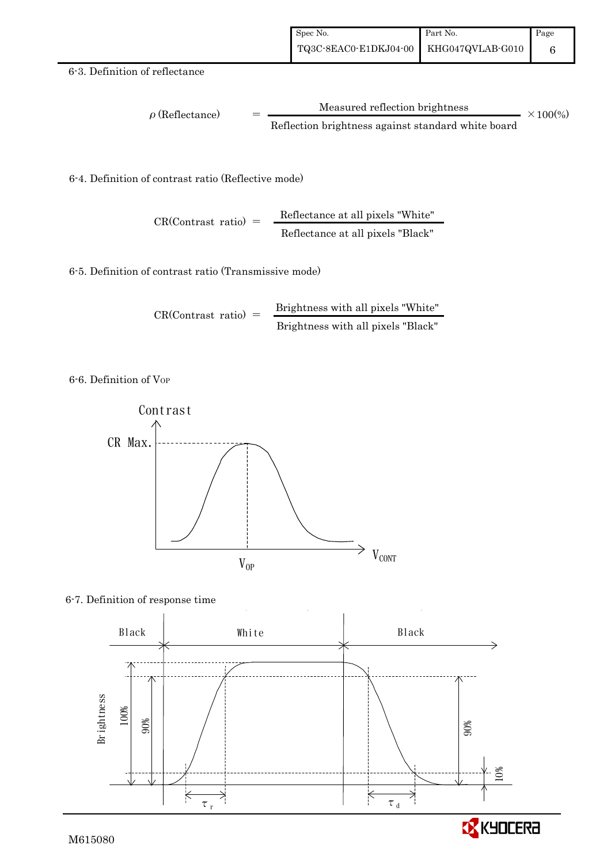#### 6-3. Definition of reflectance

$$
\rho (Reflectance) = \frac{Measured reflection brightness}{Reflection brightness against standard white board} \times 100\%
$$

6-4. Definition of contrast ratio (Reflective mode)

$$
CR(Contrast ratio) = \frac{Reflectance at all pixels "White" Refectance at all pixels "Black"}
$$

6-5. Definition of contrast ratio (Transmissive mode)

$$
CR(Contrast ratio) = \frac{Brightness with all pixels "White" }{Brightness with all pixels "Black"}
$$

6-6. Definition of VOP



#### 6-7. Definition of response time

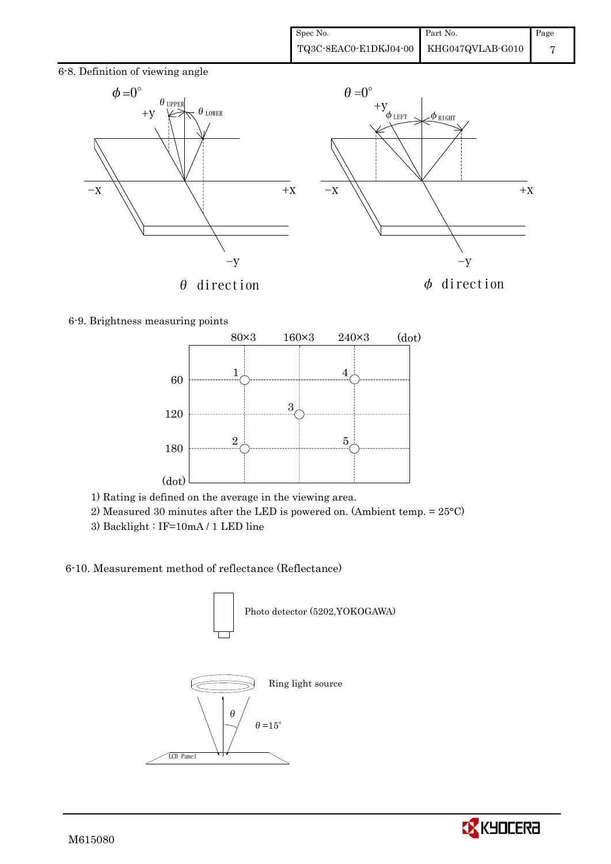



6-9. Brightness measuring points



- 1) Rating is defined on the average in the viewing area.
- 2) Measured 30 minutes after the LED is powered on. (Ambient temp. = 25°C)
- 3) Backlight : IF=10mA / 1 LED line

## 6-10. Measurement method of reflectance (Reflectance)



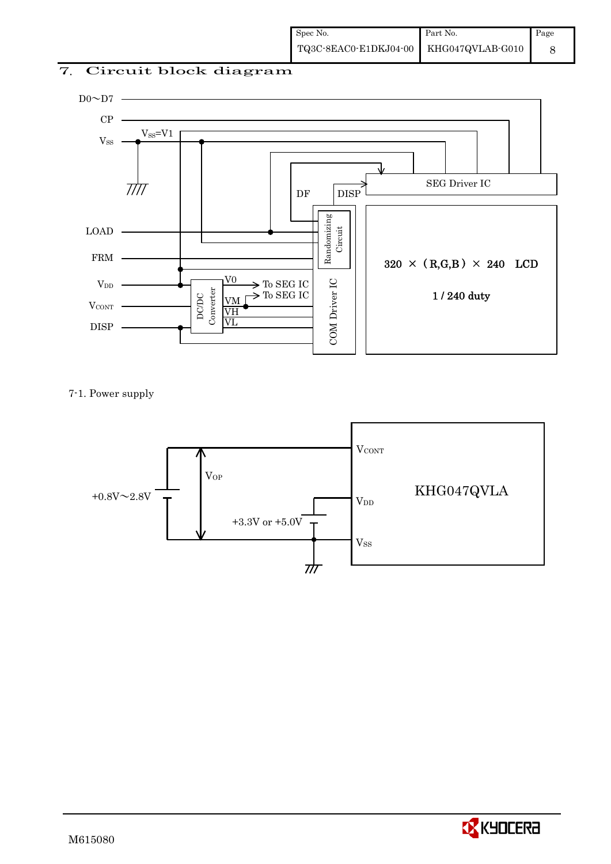## 7. Circuit block diagram



7-1. Power supply



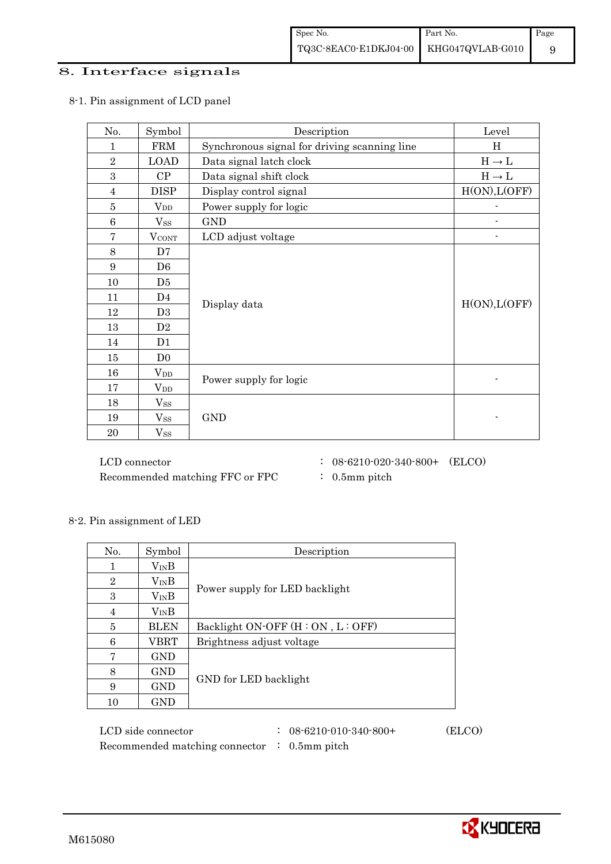## 8. Interface signals

| No.             | Symbol         | Description                                  | Level         |
|-----------------|----------------|----------------------------------------------|---------------|
| $\mathbf{1}$    | <b>FRM</b>     | Synchronous signal for driving scanning line | H             |
| $\overline{2}$  | <b>LOAD</b>    | Data signal latch clock                      | $H\to L$      |
| 3               | CP             | Data signal shift clock                      | $H\to L$      |
| $\overline{4}$  | <b>DISP</b>    | Display control signal                       | H(ON), L(OFF) |
| $\overline{5}$  | $V_{DD}$       | Power supply for logic                       |               |
| $6\phantom{1}6$ | $V_{SS}$       | <b>GND</b>                                   |               |
| $\overline{7}$  | <b>VCONT</b>   | LCD adjust voltage                           |               |
| 8               | D7             |                                              |               |
| 9               | D <sub>6</sub> |                                              |               |
| 10              | D5             |                                              |               |
| 11              | D4             |                                              | H(ON), L(OFF) |
| 12              | D <sub>3</sub> | Display data                                 |               |
| 13              | D2             |                                              |               |
| 14              | D1             |                                              |               |
| 15              | D <sub>0</sub> |                                              |               |
| 16              | $V_{DD}$       |                                              |               |
| 17              | $V_{DD}$       | Power supply for logic                       |               |
| 18              | $V_{SS}$       |                                              |               |
| 19              | $V_{SS}$       | <b>GND</b>                                   |               |
| 20              | $V_{SS}$       |                                              |               |

## 8-1. Pin assignment of LCD panel

 $\rm{LCD~connector} \hspace{1.5cm} : \hspace{.3cm} 08\text{-}6210\text{-}020\text{-}340\text{-}800+ \hspace{.3cm} (\rm{ELCO})$ Recommended matching FFC or FPC : 0.5mm pitch

8-2. Pin assignment of LED

| No.            | Symbol      | Description                          |
|----------------|-------------|--------------------------------------|
|                | $V_{IN}B$   |                                      |
| $\overline{2}$ | $V_{IN}B$   |                                      |
| 3              | $V_{IN}B$   | Power supply for LED backlight       |
| 4              | $V_{IN}B$   |                                      |
| 5              | <b>BLEN</b> | Backlight ON-OFF $(H : ON, L : OFF)$ |
| 6              | <b>VBRT</b> | Brightness adjust voltage            |
| 7              | <b>GND</b>  |                                      |
| 8              | <b>GND</b>  |                                      |
| 9              | <b>GND</b>  | GND for LED backlight                |
| 10             | <b>GND</b>  |                                      |

| LCD side connector                                      | $: 08 - 6210 - 010 - 340 - 800 +$ | (ELCO) |
|---------------------------------------------------------|-----------------------------------|--------|
| Recommended matching connector $\therefore$ 0.5mm pitch |                                   |        |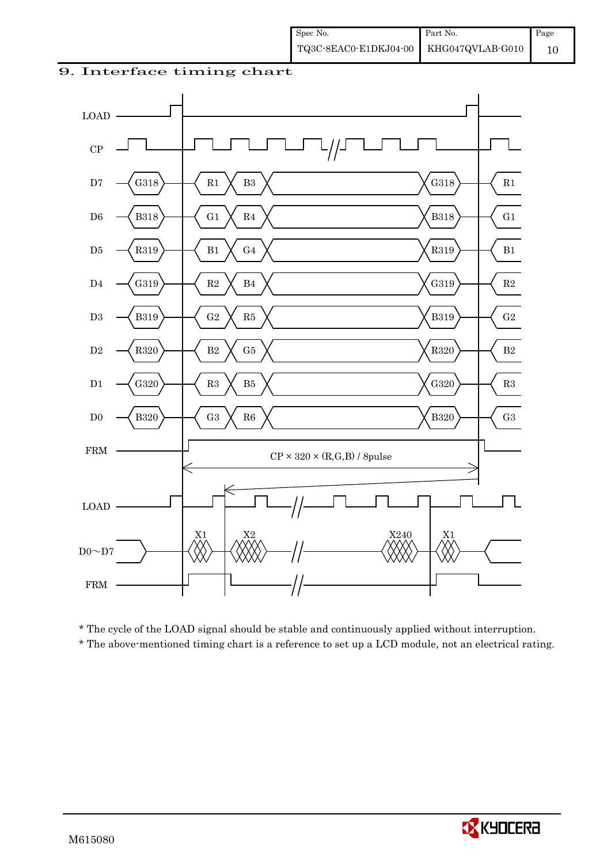## 9. Interface timing chart



\* The cycle of the LOAD signal should be stable and continuously applied without interruption.

\* The above-mentioned timing chart is a reference to set up a LCD module, not an electrical rating.

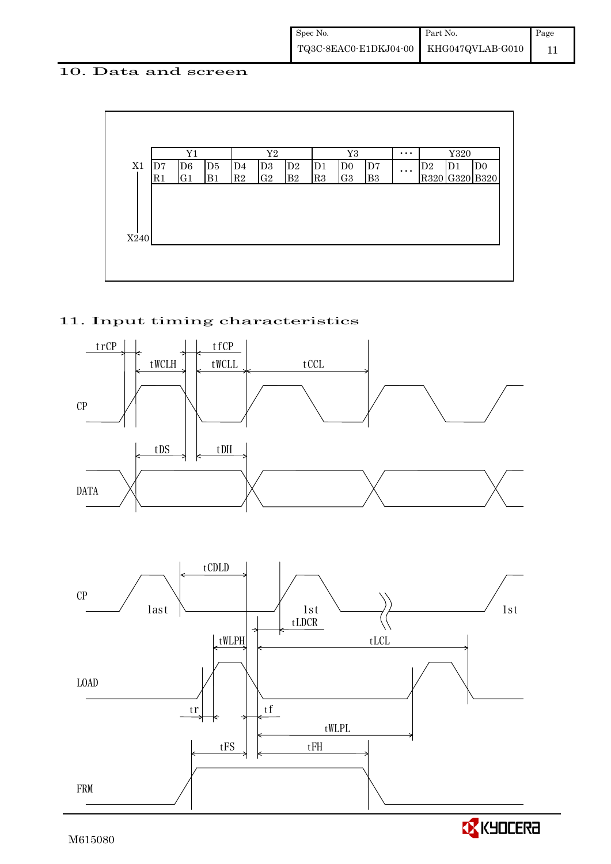## 10. Data and screen



## 11. Input timing characteristics



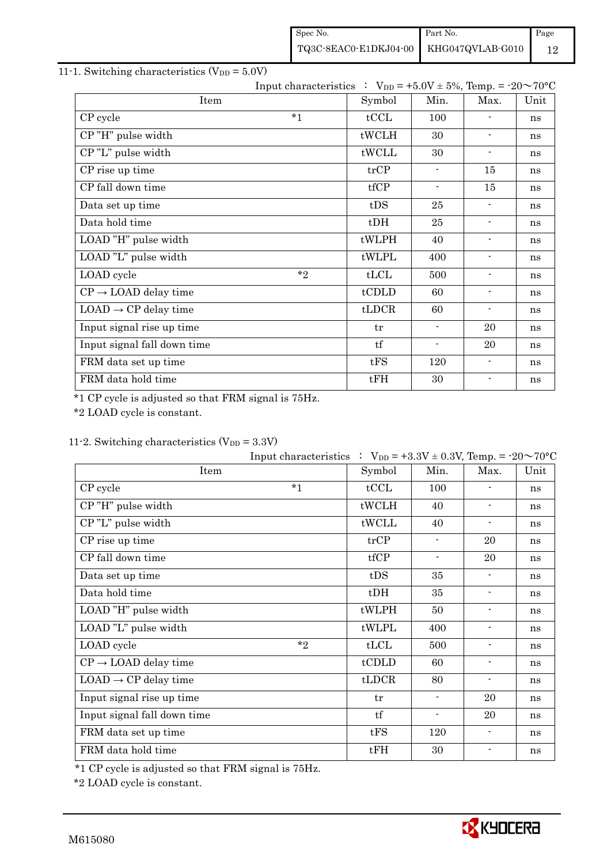| Spec No.                               | Part No. | Page |
|----------------------------------------|----------|------|
| TQ3C-8EAC0-E1DKJ04-00 KHG047QVLAB-G010 |          | 12   |

## 11-1. Switching characteristics  $(V_{DD} = 5.0V)$

|                                  | Input characteristics : $V_{DD} = +5.0V \pm 5\%$ , Temp. = -20~70°C |        |                          |                          |      |
|----------------------------------|---------------------------------------------------------------------|--------|--------------------------|--------------------------|------|
| Item                             |                                                                     | Symbol | Min.                     | Max.                     | Unit |
| CP cycle                         | $*_{1}$                                                             | tCCL   | 100                      | $\overline{\phantom{a}}$ | ns   |
| CP"H" pulse width                |                                                                     | tWCLH  | 30                       | $\overline{\phantom{a}}$ | ns   |
| CP"L" pulse width                |                                                                     | tWCLL  | 30                       | $\overline{\phantom{a}}$ | ns   |
| CP rise up time                  |                                                                     | trCP   | $\blacksquare$           | 15                       | ns   |
| CP fall down time                |                                                                     | tfCP   | $\blacksquare$           | 15                       | ns   |
| Data set up time                 |                                                                     | tDS    | 25                       | $\blacksquare$           | ns   |
| Data hold time                   |                                                                     | $t$ DH | 25                       | $\blacksquare$           | ns   |
| LOAD "H" pulse width             |                                                                     | tWLPH  | 40                       | $\blacksquare$           | ns   |
| LOAD "L" pulse width             |                                                                     | tWLPL  | 400                      | $\blacksquare$           | ns   |
| LOAD cycle                       | $*_{2}$                                                             | tLCL   | 500                      | $\overline{\phantom{a}}$ | ns   |
| $CP \rightarrow$ LOAD delay time |                                                                     | tCDLD  | 60                       | $\blacksquare$           | ns   |
| $LOAD \rightarrow CP$ delay time |                                                                     | tLDCR  | 60                       | $\blacksquare$           | ns   |
| Input signal rise up time        |                                                                     | tr     | $\overline{\phantom{a}}$ | 20                       | ns   |
| Input signal fall down time      |                                                                     | tf     | $\blacksquare$           | 20                       | ns   |
| FRM data set up time             |                                                                     | tFS    | 120                      | $\overline{a}$           | ns   |
| FRM data hold time               |                                                                     | tFH    | 30                       | $\overline{\phantom{a}}$ | ns   |

\*1 CP cycle is adjusted so that FRM signal is 75Hz.

\*2 LOAD cycle is constant.

## 11-2. Switching characteristics  $(V_{DD} = 3.3V)$

|                                  | Input characteristics $\therefore$ V <sub>DD</sub> = +3.3V ± 0.3V, Temp. = -20 $\sim$ 70°C |                |                          |                          |      |
|----------------------------------|--------------------------------------------------------------------------------------------|----------------|--------------------------|--------------------------|------|
| Item                             |                                                                                            | Symbol         | Min.                     | Max.                     | Unit |
| CP cycle                         | $*1$                                                                                       | tCCL           | 100                      |                          | ns   |
| CP"H" pulse width                |                                                                                            | tWCLH          | 40                       | $\overline{\phantom{a}}$ | ns   |
| CP"L" pulse width                |                                                                                            | tWCLL          | 40                       | $\overline{\phantom{a}}$ | ns   |
| CP rise up time                  |                                                                                            | trCP           | $\overline{\phantom{a}}$ | 20                       | ns   |
| CP fall down time                |                                                                                            | tfCP           | $\blacksquare$           | 20                       | ns   |
| Data set up time                 |                                                                                            | tDS            | 35                       | $\blacksquare$           | ns   |
| Data hold time                   |                                                                                            | $t$ DH         | 35                       | $\overline{\phantom{a}}$ | ns   |
| LOAD "H" pulse width             |                                                                                            | tWLPH          | 50                       | $\blacksquare$           | ns   |
| LOAD "L" pulse width             |                                                                                            | tWLPL          | 400                      | $\blacksquare$           | ns   |
| LOAD cycle                       | $*$                                                                                        | tLCL           | 500                      | $\overline{\phantom{a}}$ | ns   |
| $CP \rightarrow$ LOAD delay time |                                                                                            | tCDLD          | 60                       | $\blacksquare$           | ns   |
| $LOAD \rightarrow CP$ delay time |                                                                                            | $t\text{LDCR}$ | 80                       | $\overline{\phantom{a}}$ | ns   |
| Input signal rise up time        |                                                                                            | tr             | $\blacksquare$           | 20                       | ns   |
| Input signal fall down time      |                                                                                            | tf             | $\blacksquare$           | 20                       | ns   |
| FRM data set up time             |                                                                                            | tFS            | 120                      | $\blacksquare$           | ns   |
| FRM data hold time               |                                                                                            | tFH            | 30                       | $\blacksquare$           | ns   |

\*1 CP cycle is adjusted so that FRM signal is 75Hz.

\*2 LOAD cycle is constant.

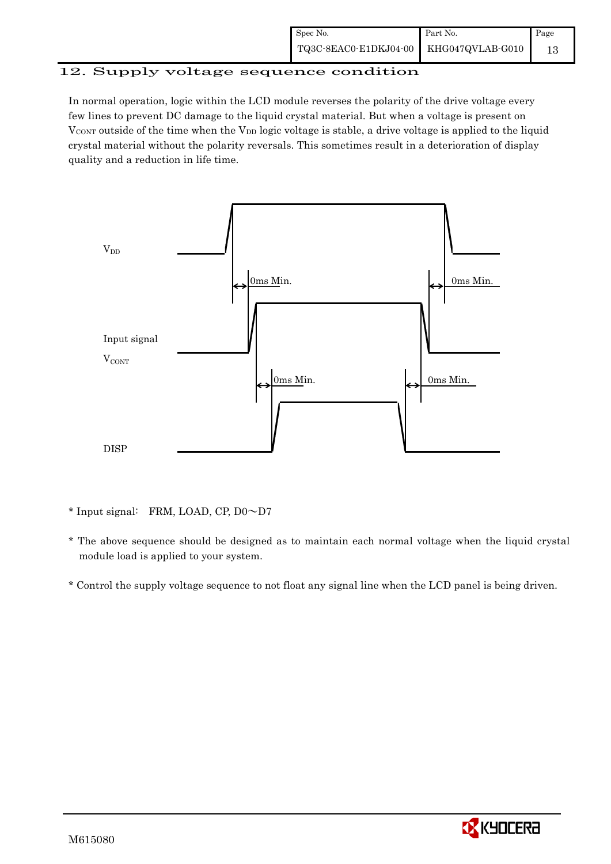## 12. Supply voltage sequence condition

In normal operation, logic within the LCD module reverses the polarity of the drive voltage every few lines to prevent DC damage to the liquid crystal material. But when a voltage is present on  $V_{\text{CONT}}$  outside of the time when the  $V_{\text{DD}}$  logic voltage is stable, a drive voltage is applied to the liquid crystal material without the polarity reversals. This sometimes result in a deterioration of display quality and a reduction in life time.



\* Input signal: FRM, LOAD, CP, D0~D7

- \* The above sequence should be designed as to maintain each normal voltage when the liquid crystal module load is applied to your system.
- \* Control the supply voltage sequence to not float any signal line when the LCD panel is being driven.

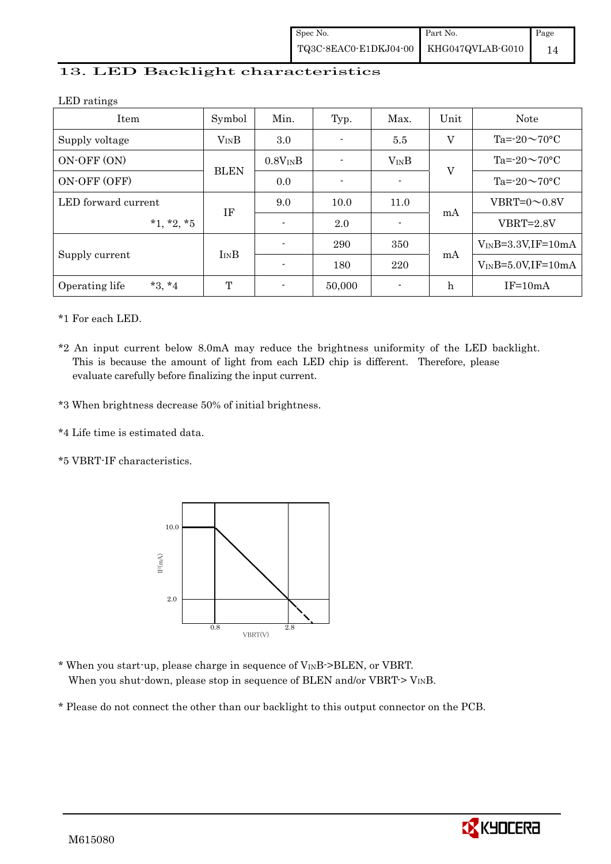## 13. LED Backlight characteristics

LED ratings

| Item                       | Symbol      | Unit<br>Min.<br>Max.<br>Typ. |        |           | <b>Note</b> |                          |
|----------------------------|-------------|------------------------------|--------|-----------|-------------|--------------------------|
| Supply voltage             | $V_{IN}B$   | 3.0                          |        | 5.5       | V           | $Ta = 20 \sim 70$ °C     |
| ON-OFF (ON)                |             | $0.8V_{IN}B$                 |        | $V_{IN}B$ |             | $Ta = 20 \sim 70$ °C     |
| ON-OFF (OFF)               | <b>BLEN</b> | 0.0                          |        |           | V           | $Ta = 20 \sim 70$ °C     |
| LED forward current        | ΙF          | 9.0                          | 10.0   | 11.0      |             | VBRT= $0 \sim 0.8V$      |
| $*1, *2, *5$               |             | $\overline{a}$               | 2.0    |           | mA          | $VBRT = 2.8V$            |
|                            |             |                              | 290    | 350       |             | $V_{IN}B=3.3V,IF=10mA$   |
| Supply current             | $I_{IN}B$   | $\overline{\phantom{a}}$     | 180    | 220       | mA          | $V_{IN}B=5.0V$ , IF=10mA |
| $*3, *4$<br>Operating life | T           |                              | 50,000 |           | h           | $IF=10mA$                |

\*1 For each LED.

- \*2 An input current below 8.0mA may reduce the brightness uniformity of the LED backlight. This is because the amount of light from each LED chip is different. Therefore, please evaluate carefully before finalizing the input current.
- \*3 When brightness decrease 50% of initial brightness.
- \*4 Life time is estimated data.
- \*5 VBRT-IF characteristics.



- \* When you start-up, please charge in sequence of  $V_{IN}B$ ->BLEN, or VBRT. When you shut-down, please stop in sequence of BLEN and/or VBRT- $>V_{IN}B$ .
- \* Please do not connect the other than our backlight to this output connector on the PCB.

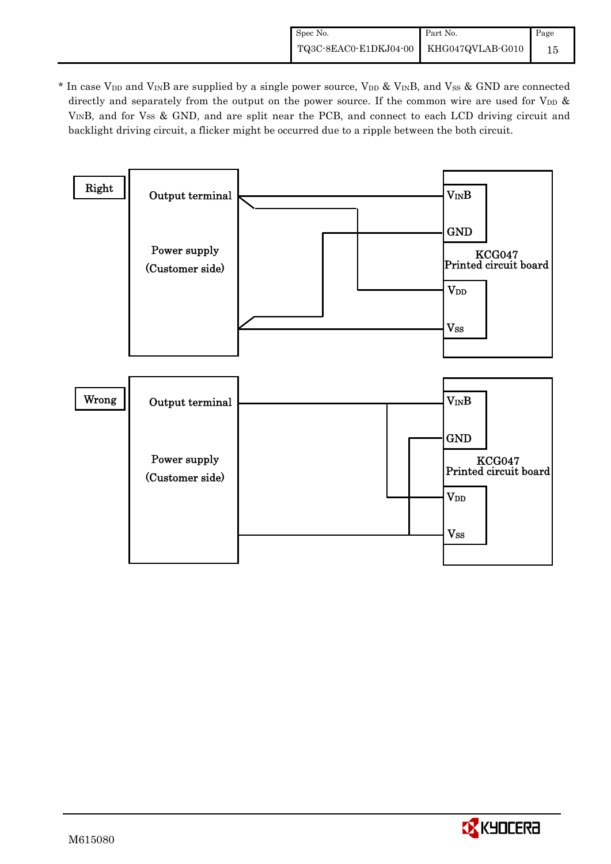\* In case V<sub>DD</sub> and V<sub>IN</sub>B are supplied by a single power source, V<sub>DD</sub> & V<sub>IN</sub>B, and V<sub>SS</sub> & GND are connected directly and separately from the output on the power source. If the common wire are used for V<sub>DD</sub> & VINB, and for Vss & GND, and are split near the PCB, and connect to each LCD driving circuit and backlight driving circuit, a flicker might be occurred due to a ripple between the both circuit.



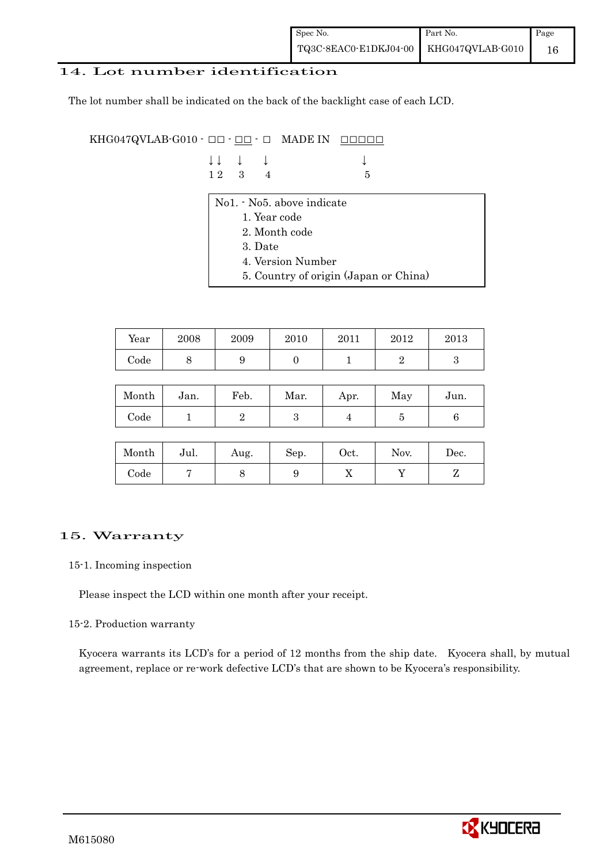## 14. Lot number identification

The lot number shall be indicated on the back of the backlight case of each LCD.

KHG047QVLAB-G010  $\cdot$  OO  $\cdot$  OO  $\cdot$  O MADE IN OOOOO

|  | $\downarrow \downarrow \quad \downarrow \quad \downarrow$ |     | $\downarrow$ |
|--|-----------------------------------------------------------|-----|--------------|
|  | $12 \quad 3 \quad 4$                                      | - 5 |              |

- No1. No5. above indicate
	- 1. Year code
	- 2. Month code
	- 3. Date
	- 4. Version Number
	- 5. Country of origin (Japan or China)

| Year | 2008 | 2009 | 2010 | 2011 | 2012 | 2013 |
|------|------|------|------|------|------|------|
| Code | ັ    |      |      |      |      |      |

| Month | Jan. | Feb. | Mar. | Apr. | May | Jun. |
|-------|------|------|------|------|-----|------|
| Code  |      |      | ౿    |      |     |      |

| Month      | Jul. | Aug. | Sep. | $\rm Oct.$ | Nov. | Dec. |
|------------|------|------|------|------------|------|------|
| $\rm Code$ |      |      |      | ∡⊾         |      |      |

## 15. Warranty

#### 15-1. Incoming inspection

Please inspect the LCD within one month after your receipt.

#### 15-2. Production warranty

 Kyocera warrants its LCD's for a period of 12 months from the ship date. Kyocera shall, by mutual agreement, replace or re-work defective LCD's that are shown to be Kyocera's responsibility.

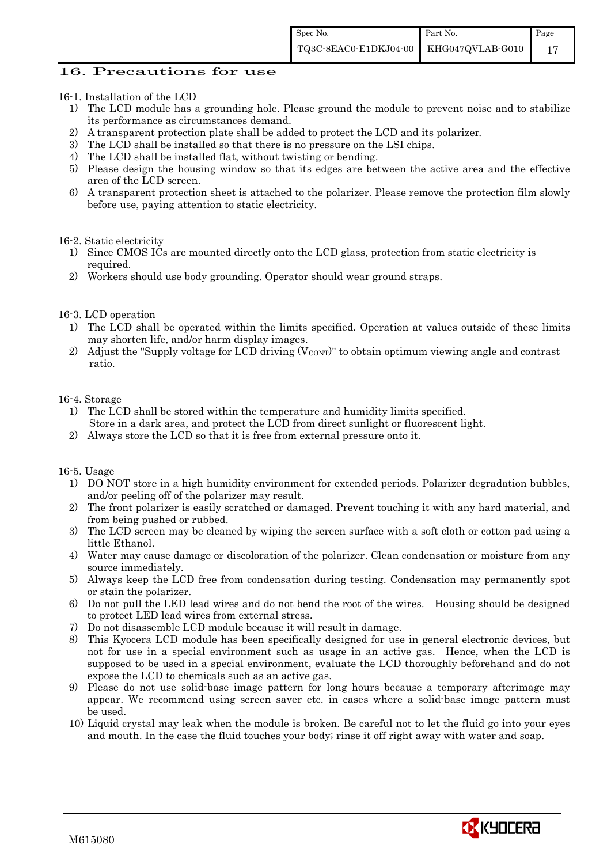## 16. Precautions for use

#### 16-1. Installation of the LCD

- 1) The LCD module has a grounding hole. Please ground the module to prevent noise and to stabilize its performance as circumstances demand.
- 2) A transparent protection plate shall be added to protect the LCD and its polarizer.
- 3) The LCD shall be installed so that there is no pressure on the LSI chips.
- 4) The LCD shall be installed flat, without twisting or bending.
- 5) Please design the housing window so that its edges are between the active area and the effective area of the LCD screen.
- 6) A transparent protection sheet is attached to the polarizer. Please remove the protection film slowly before use, paying attention to static electricity.

#### 16-2. Static electricity

- 1) Since CMOS ICs are mounted directly onto the LCD glass, protection from static electricity is required.
- 2) Workers should use body grounding. Operator should wear ground straps.

#### 16-3. LCD operation

- 1) The LCD shall be operated within the limits specified. Operation at values outside of these limits may shorten life, and/or harm display images.
- 2) Adjust the "Supply voltage for LCD driving  $(V_{\text{CONT}})$ " to obtain optimum viewing angle and contrast ratio.

#### 16-4. Storage

- 1) The LCD shall be stored within the temperature and humidity limits specified. Store in a dark area, and protect the LCD from direct sunlight or fluorescent light.
- 2) Always store the LCD so that it is free from external pressure onto it.

#### 16-5. Usage

- 1) DO NOT store in a high humidity environment for extended periods. Polarizer degradation bubbles, and/or peeling off of the polarizer may result.
- 2) The front polarizer is easily scratched or damaged. Prevent touching it with any hard material, and from being pushed or rubbed.
- 3) The LCD screen may be cleaned by wiping the screen surface with a soft cloth or cotton pad using a little Ethanol.
- 4) Water may cause damage or discoloration of the polarizer. Clean condensation or moisture from any source immediately.
- 5) Always keep the LCD free from condensation during testing. Condensation may permanently spot or stain the polarizer.
- 6) Do not pull the LED lead wires and do not bend the root of the wires. Housing should be designed to protect LED lead wires from external stress.
- 7) Do not disassemble LCD module because it will result in damage.
- 8) This Kyocera LCD module has been specifically designed for use in general electronic devices, but not for use in a special environment such as usage in an active gas. Hence, when the LCD is supposed to be used in a special environment, evaluate the LCD thoroughly beforehand and do not expose the LCD to chemicals such as an active gas.
- 9) Please do not use solid-base image pattern for long hours because a temporary afterimage may appear. We recommend using screen saver etc. in cases where a solid-base image pattern must be used.
- 10) Liquid crystal may leak when the module is broken. Be careful not to let the fluid go into your eyes and mouth. In the case the fluid touches your body; rinse it off right away with water and soap.

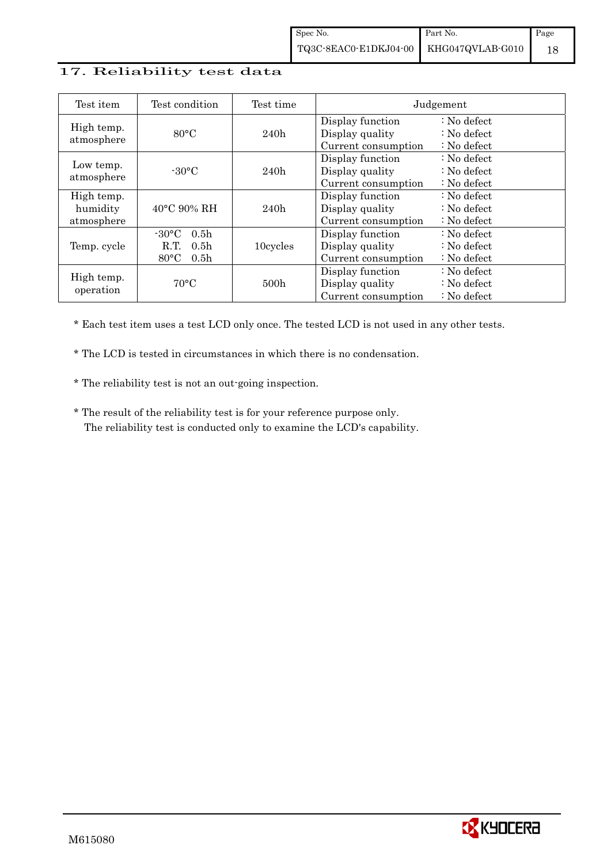## 17. Reliability test data

| Test item                            | Test condition                                                                                        | Test time        | Judgement                                                  |                                                                            |  |
|--------------------------------------|-------------------------------------------------------------------------------------------------------|------------------|------------------------------------------------------------|----------------------------------------------------------------------------|--|
| High temp.<br>atmosphere             | $80^{\circ}$ C                                                                                        | 240h             | Display function<br>Display quality<br>Current consumption | $\therefore$ No defect<br>$\therefore$ No defect<br>$\therefore$ No defect |  |
| Low temp.<br>atmosphere              | $-30^{\circ}$ C                                                                                       | 240h             | Display function<br>Display quality<br>Current consumption | $\therefore$ No defect<br>: No defect<br>$\therefore$ No defect            |  |
| High temp.<br>humidity<br>atmosphere | $40^{\circ}$ C 90% RH                                                                                 | 240h             | Display function<br>Display quality<br>Current consumption | : No defect<br>$\therefore$ No defect<br>$\therefore$ No defect            |  |
| Temp. cycle                          | $-30^{\circ}$ C<br>0.5 <sub>h</sub><br>R.T.<br>0.5 <sub>h</sub><br>$80^{\circ}$ C<br>0.5 <sub>h</sub> | 10cycles         | Display function<br>Display quality<br>Current consumption | $\therefore$ No defect<br>$\therefore$ No defect<br>$\therefore$ No defect |  |
| High temp.<br>operation              | $70^{\circ}$ C                                                                                        | 500 <sub>h</sub> | Display function<br>Display quality<br>Current consumption | $\therefore$ No defect<br>$\therefore$ No defect<br>$\therefore$ No defect |  |

\* Each test item uses a test LCD only once. The tested LCD is not used in any other tests.

\* The LCD is tested in circumstances in which there is no condensation.

\* The reliability test is not an out-going inspection.

 \* The result of the reliability test is for your reference purpose only. The reliability test is conducted only to examine the LCD's capability.

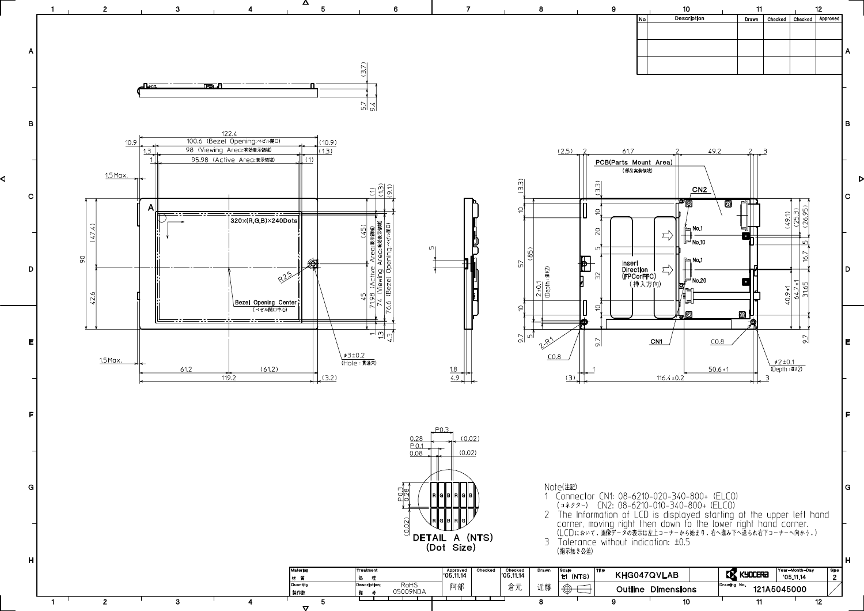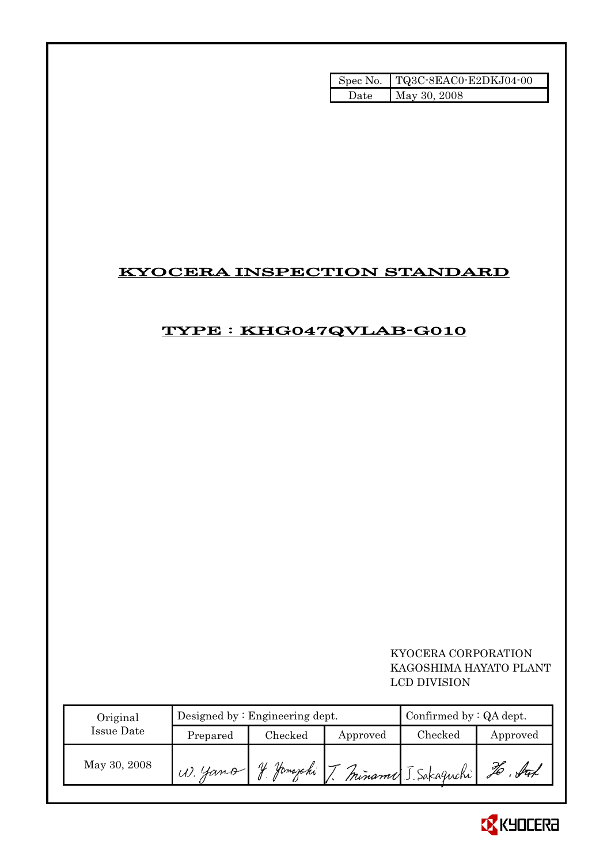|       | Spec No. TQ3C-8EAC0-E2DKJ04-00 |
|-------|--------------------------------|
| Date. | May 30, 2008                   |

# KYOCERA INSPECTION STANDARD

# TYPE : KHG047QVLAB-G010

## KYOCERA CORPORATION KAGOSHIMA HAYATO PLANT LCD DIVISION

| Original     |           | Designed by $:$ Engineering dept. | Confirmed by $:QA$ dept. |                     |          |
|--------------|-----------|-----------------------------------|--------------------------|---------------------|----------|
| Issue Date   | Prepared  | Checked                           | Approved                 | $\rm Checked$       | Approved |
| May 30, 2008 | $W.$ Yano | Jamazaki T                        |                          | Miname J. Sakaguchi | JO       |

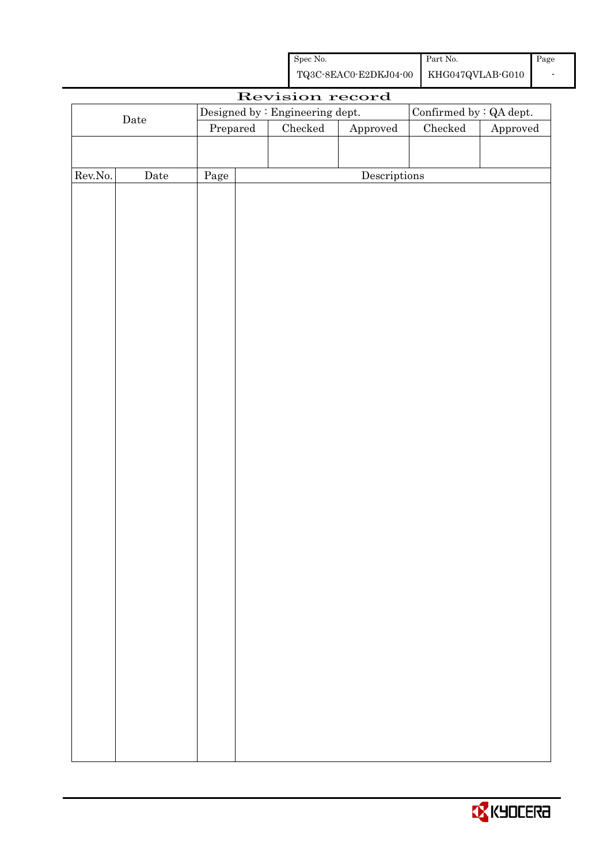| Spec No.                               | Part No. | Page |
|----------------------------------------|----------|------|
| TQ3C-8EAC0-E2DKJ04-00 KHG047QVLAB-G010 |          |      |

|         |                      |          | Revision record                 |                        |                         |          |
|---------|----------------------|----------|---------------------------------|------------------------|-------------------------|----------|
|         |                      |          | Designed by : Engineering dept. |                        | Confirmed by : QA dept. |          |
|         | $\rm{\textbf{Date}}$ | Prepared | Checked                         | ${\Large\bf Approved}$ | $\rm Checked$           | Approved |
|         |                      |          |                                 |                        |                         |          |
|         |                      |          |                                 |                        |                         |          |
| Rev.No. | $\rm{Date}$          | Page     |                                 | Descriptions           |                         |          |
|         |                      |          |                                 |                        |                         |          |
|         |                      |          |                                 |                        |                         |          |
|         |                      |          |                                 |                        |                         |          |
|         |                      |          |                                 |                        |                         |          |
|         |                      |          |                                 |                        |                         |          |
|         |                      |          |                                 |                        |                         |          |
|         |                      |          |                                 |                        |                         |          |
|         |                      |          |                                 |                        |                         |          |
|         |                      |          |                                 |                        |                         |          |
|         |                      |          |                                 |                        |                         |          |
|         |                      |          |                                 |                        |                         |          |
|         |                      |          |                                 |                        |                         |          |
|         |                      |          |                                 |                        |                         |          |
|         |                      |          |                                 |                        |                         |          |
|         |                      |          |                                 |                        |                         |          |
|         |                      |          |                                 |                        |                         |          |
|         |                      |          |                                 |                        |                         |          |
|         |                      |          |                                 |                        |                         |          |
|         |                      |          |                                 |                        |                         |          |
|         |                      |          |                                 |                        |                         |          |
|         |                      |          |                                 |                        |                         |          |
|         |                      |          |                                 |                        |                         |          |
|         |                      |          |                                 |                        |                         |          |
|         |                      |          |                                 |                        |                         |          |
|         |                      |          |                                 |                        |                         |          |
|         |                      |          |                                 |                        |                         |          |
|         |                      |          |                                 |                        |                         |          |
|         |                      |          |                                 |                        |                         |          |
|         |                      |          |                                 |                        |                         |          |
|         |                      |          |                                 |                        |                         |          |
|         |                      |          |                                 |                        |                         |          |
|         |                      |          |                                 |                        |                         |          |
|         |                      |          |                                 |                        |                         |          |
|         |                      |          |                                 |                        |                         |          |
|         |                      |          |                                 |                        |                         |          |
|         |                      |          |                                 |                        |                         |          |

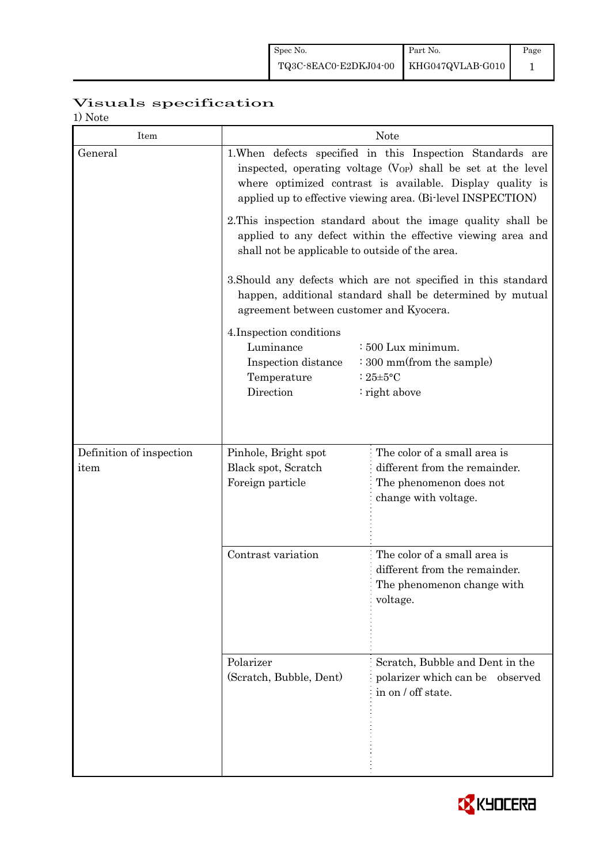# Visuals specification

| 17 1 V U U U<br>Item     |                                                                                                                                                                                                                                                                                                                                                          | <b>Note</b>                                                                                             |  |  |
|--------------------------|----------------------------------------------------------------------------------------------------------------------------------------------------------------------------------------------------------------------------------------------------------------------------------------------------------------------------------------------------------|---------------------------------------------------------------------------------------------------------|--|--|
| General                  | 1. When defects specified in this Inspection Standards are<br>inspected, operating voltage $(V_{OP})$ shall be set at the level<br>where optimized contrast is available. Display quality is<br>applied up to effective viewing area. (Bi-level INSPECTION)                                                                                              |                                                                                                         |  |  |
|                          | 2. This inspection standard about the image quality shall be<br>applied to any defect within the effective viewing area and<br>shall not be applicable to outside of the area.<br>3. Should any defects which are not specified in this standard<br>happen, additional standard shall be determined by mutual<br>agreement between customer and Kyocera. |                                                                                                         |  |  |
|                          |                                                                                                                                                                                                                                                                                                                                                          |                                                                                                         |  |  |
|                          | : 500 Lux minimum.<br>: 300 mm(from the sample)<br>: $25 \pm 5$ °C<br>: right above                                                                                                                                                                                                                                                                      |                                                                                                         |  |  |
| Definition of inspection | Pinhole, Bright spot                                                                                                                                                                                                                                                                                                                                     | The color of a small area is                                                                            |  |  |
| item                     | Black spot, Scratch<br>Foreign particle                                                                                                                                                                                                                                                                                                                  | different from the remainder.<br>The phenomenon does not<br>change with voltage.                        |  |  |
|                          | Contrast variation                                                                                                                                                                                                                                                                                                                                       | The color of a small area is<br>different from the remainder.<br>The phenomenon change with<br>voltage. |  |  |
|                          | Polarizer<br>(Scratch, Bubble, Dent)                                                                                                                                                                                                                                                                                                                     | Scratch, Bubble and Dent in the<br>polarizer which can be observed<br>in on / off state.                |  |  |

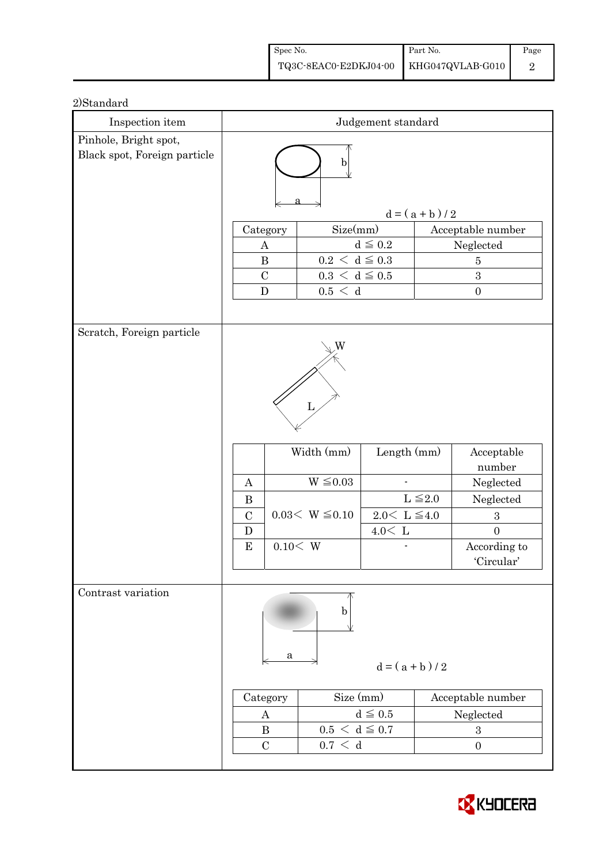| Spec No.                               | Part No. | Page |
|----------------------------------------|----------|------|
| TQ3C-8EAC0-E2DKJ04-00 KHG047QVLAB-G010 |          |      |

| Inspection item              | Judgement standard                                                                                                                                                                                    |                                                 |                                                                                                                      |                 |                                                                        |  |
|------------------------------|-------------------------------------------------------------------------------------------------------------------------------------------------------------------------------------------------------|-------------------------------------------------|----------------------------------------------------------------------------------------------------------------------|-----------------|------------------------------------------------------------------------|--|
| Pinhole, Bright spot,        |                                                                                                                                                                                                       |                                                 |                                                                                                                      |                 |                                                                        |  |
| Black spot, Foreign particle | b                                                                                                                                                                                                     |                                                 |                                                                                                                      |                 |                                                                        |  |
|                              |                                                                                                                                                                                                       |                                                 |                                                                                                                      | $d = (a + b)/2$ |                                                                        |  |
|                              | Category                                                                                                                                                                                              | Size(mm)                                        |                                                                                                                      |                 | Acceptable number                                                      |  |
|                              | A                                                                                                                                                                                                     |                                                 | $d \leq 0.2$                                                                                                         |                 | Neglected                                                              |  |
|                              | $\bf{B}$                                                                                                                                                                                              | $0.2\,<\,\mathrm{d}\leq0.3$                     |                                                                                                                      |                 | $\overline{5}$                                                         |  |
|                              | $\mathcal{C}$                                                                                                                                                                                         | $0.3\,<\,\mathrm{d}\leq0.5$                     |                                                                                                                      |                 | 3                                                                      |  |
|                              | $\mathbf D$                                                                                                                                                                                           | 0.5 < d                                         |                                                                                                                      |                 | $\boldsymbol{0}$                                                       |  |
|                              |                                                                                                                                                                                                       |                                                 |                                                                                                                      |                 |                                                                        |  |
| Scratch, Foreign particle    | W<br>L<br>Width (mm)<br>Length (mm)<br>$W \leq 0.03$<br>A<br>$L \leq 2.0$<br>$\bf{B}$<br>$0.03< W \leq 0.10$<br>$2.0\leq\,$ L $\leq\!4.0$<br>$\mathcal{C}$<br>$4.0<\,$ L<br>D<br>0.10< W<br>${\bf E}$ |                                                 | Acceptable<br>number<br>Neglected<br>Neglected<br>$\boldsymbol{3}$<br>$\boldsymbol{0}$<br>According to<br>'Circular' |                 |                                                                        |  |
| Contrast variation           | a<br>Category<br>A<br>$\bf{B}$<br>$\mathcal{C}$                                                                                                                                                       | b<br>Size (mm)<br>$0.5 < d \leq 0.7$<br>0.7 < d | $d = (a + b)/2$<br>$d \leq 0.5$                                                                                      |                 | Acceptable number<br>Neglected<br>$\boldsymbol{3}$<br>$\boldsymbol{0}$ |  |